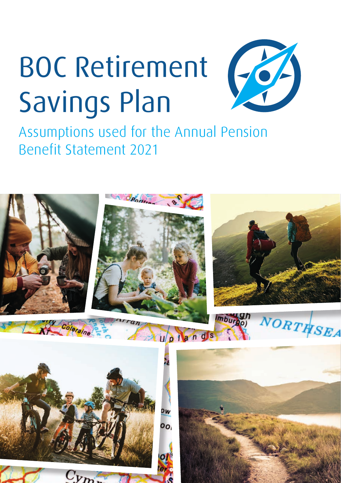## BOC Retirement Savings Plan



Assumptions used for the Annual Pension Benefit Statement 2021

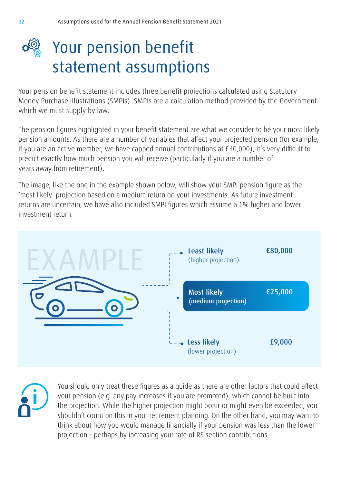

Your pension benefit statement includes three benefit projections calculated using Statutory Money Purchase Illustrations (SMPIs). SMPIs are a calculation method provided by the Government which we must supply by law.

The pension figures highlighted in your benefit statement are what we consider to be your most likely pension amounts. As there are a number of variables that affect your projected pension (for example, if you are an active member, we have capped annual contributions at £40,000), it's very difficult to predict exactly how much pension you will receive (particularly if you are a number of years away from retirement).

The image, like the one in the example shown below, will show your SMPI pension figure as the 'most likely' projection based on a medium return on your investments. As future investment returns are uncertain, we have also included SMPI figures which assume a 1% higher and lower investment return.



You should only treat these figures as a guide as there are other factors that could affect your pension (e.g. any pay increases if you are promoted), which cannot be built into the projection. While the higher projection might occur or might even be exceeded, you shouldn't count on this in your retirement planning. On the other hand, you may want to think about how you would manage financially if your pension was less than the lower projection – perhaps by increasing your rate of RS section contributions.